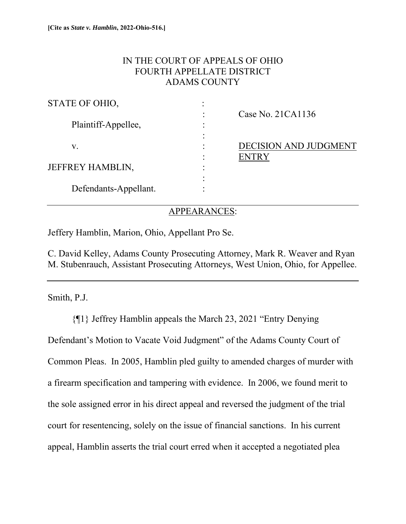# IN THE COURT OF APPEALS OF OHIO FOURTH APPELLATE DISTRICT ADAMS COUNTY

| Case No. $21CA1136$          |
|------------------------------|
|                              |
|                              |
| <b>DECISION AND JUDGMENT</b> |
| <b>ENTRY</b>                 |
|                              |
|                              |
|                              |
|                              |

## APPEARANCES:

Jeffery Hamblin, Marion, Ohio, Appellant Pro Se.

C. David Kelley, Adams County Prosecuting Attorney, Mark R. Weaver and Ryan M. Stubenrauch, Assistant Prosecuting Attorneys, West Union, Ohio, for Appellee.

Smith, P.J.

 {¶1} Jeffrey Hamblin appeals the March 23, 2021 "Entry Denying Defendant's Motion to Vacate Void Judgment" of the Adams County Court of Common Pleas. In 2005, Hamblin pled guilty to amended charges of murder with a firearm specification and tampering with evidence. In 2006, we found merit to the sole assigned error in his direct appeal and reversed the judgment of the trial court for resentencing, solely on the issue of financial sanctions. In his current appeal, Hamblin asserts the trial court erred when it accepted a negotiated plea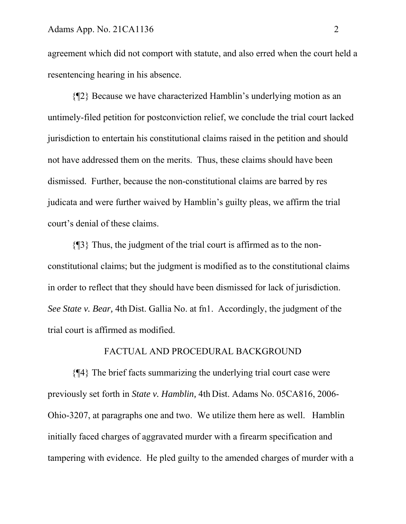agreement which did not comport with statute, and also erred when the court held a resentencing hearing in his absence.

 {¶2} Because we have characterized Hamblin's underlying motion as an untimely-filed petition for postconviction relief, we conclude the trial court lacked jurisdiction to entertain his constitutional claims raised in the petition and should not have addressed them on the merits. Thus, these claims should have been dismissed. Further, because the non-constitutional claims are barred by res judicata and were further waived by Hamblin's guilty pleas, we affirm the trial court's denial of these claims.

{¶3} Thus, the judgment of the trial court is affirmed as to the nonconstitutional claims; but the judgment is modified as to the constitutional claims in order to reflect that they should have been dismissed for lack of jurisdiction. *See State v. Bear,* 4th Dist. Gallia No. at fn1. Accordingly, the judgment of the trial court is affirmed as modified.

## FACTUAL AND PROCEDURAL BACKGROUND

 {¶4} The brief facts summarizing the underlying trial court case were previously set forth in *State v. Hamblin,* 4th Dist. Adams No. 05CA816, 2006- Ohio-3207, at paragraphs one and two. We utilize them here as well. Hamblin initially faced charges of aggravated murder with a firearm specification and tampering with evidence. He pled guilty to the amended charges of murder with a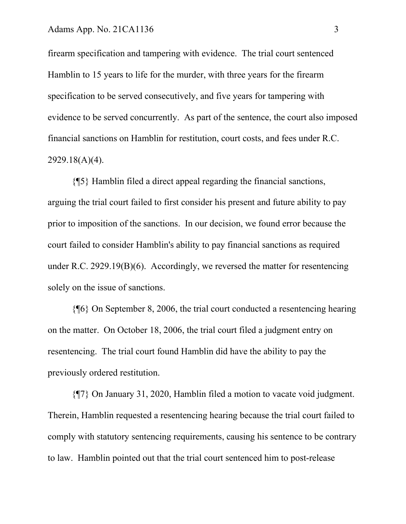firearm specification and tampering with evidence. The trial court sentenced Hamblin to 15 years to life for the murder, with three years for the firearm specification to be served consecutively, and five years for tampering with evidence to be served concurrently. As part of the sentence, the court also imposed financial sanctions on Hamblin for restitution, court costs, and fees under R.C. 2929.18(A)(4).

{¶5} Hamblin filed a direct appeal regarding the financial sanctions, arguing the trial court failed to first consider his present and future ability to pay prior to imposition of the sanctions. In our decision, we found error because the court failed to consider Hamblin's ability to pay financial sanctions as required under R.C. 2929.19(B)(6). Accordingly, we reversed the matter for resentencing solely on the issue of sanctions.

{¶6} On September 8, 2006, the trial court conducted a resentencing hearing on the matter. On October 18, 2006, the trial court filed a judgment entry on resentencing. The trial court found Hamblin did have the ability to pay the previously ordered restitution.

{¶7} On January 31, 2020, Hamblin filed a motion to vacate void judgment. Therein, Hamblin requested a resentencing hearing because the trial court failed to comply with statutory sentencing requirements, causing his sentence to be contrary to law. Hamblin pointed out that the trial court sentenced him to post-release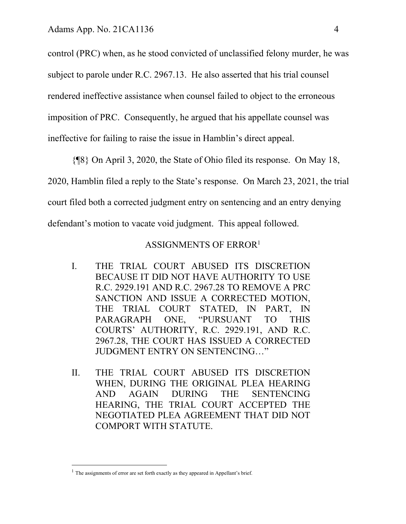control (PRC) when, as he stood convicted of unclassified felony murder, he was subject to parole under R.C. 2967.13. He also asserted that his trial counsel rendered ineffective assistance when counsel failed to object to the erroneous imposition of PRC. Consequently, he argued that his appellate counsel was ineffective for failing to raise the issue in Hamblin's direct appeal.

{¶8} On April 3, 2020, the State of Ohio filed its response. On May 18, 2020, Hamblin filed a reply to the State's response. On March 23, 2021, the trial court filed both a corrected judgment entry on sentencing and an entry denying defendant's motion to vacate void judgment. This appeal followed.

## ASSIGNMENTS OF ERROR<sup>1</sup>

- I. THE TRIAL COURT ABUSED ITS DISCRETION BECAUSE IT DID NOT HAVE AUTHORITY TO USE R.C. 2929.191 AND R.C. 2967.28 TO REMOVE A PRC SANCTION AND ISSUE A CORRECTED MOTION, THE TRIAL COURT STATED, IN PART, IN PARAGRAPH ONE, "PURSUANT TO THIS COURTS' AUTHORITY, R.C. 2929.191, AND R.C. 2967.28, THE COURT HAS ISSUED A CORRECTED JUDGMENT ENTRY ON SENTENCING…"
- II. THE TRIAL COURT ABUSED ITS DISCRETION WHEN, DURING THE ORIGINAL PLEA HEARING AND AGAIN DURING THE SENTENCING HEARING, THE TRIAL COURT ACCEPTED THE NEGOTIATED PLEA AGREEMENT THAT DID NOT COMPORT WITH STATUTE.

 $<sup>1</sup>$  The assignments of error are set forth exactly as they appeared in Appellant's brief.</sup>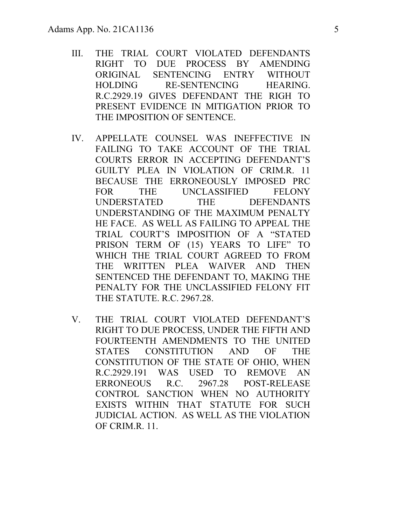- III. THE TRIAL COURT VIOLATED DEFENDANTS RIGHT TO DUE PROCESS BY AMENDING ORIGINAL SENTENCING ENTRY WITHOUT HOLDING RE-SENTENCING HEARING. R.C.2929.19 GIVES DEFENDANT THE RIGH TO PRESENT EVIDENCE IN MITIGATION PRIOR TO THE IMPOSITION OF SENTENCE.
- IV. APPELLATE COUNSEL WAS INEFFECTIVE IN FAILING TO TAKE ACCOUNT OF THE TRIAL COURTS ERROR IN ACCEPTING DEFENDANT'S GUILTY PLEA IN VIOLATION OF CRIM.R. 11 BECAUSE THE ERRONEOUSLY IMPOSED PRC FOR THE UNCLASSIFIED FELONY UNDERSTATED THE DEFENDANTS UNDERSTANDING OF THE MAXIMUM PENALTY HE FACE. AS WELL AS FAILING TO APPEAL THE TRIAL COURT'S IMPOSITION OF A "STATED PRISON TERM OF (15) YEARS TO LIFE" TO WHICH THE TRIAL COURT AGREED TO FROM THE WRITTEN PLEA WAIVER AND THEN SENTENCED THE DEFENDANT TO, MAKING THE PENALTY FOR THE UNCLASSIFIED FELONY FIT THE STATUTE. R.C. 2967.28.
- V. THE TRIAL COURT VIOLATED DEFENDANT'S RIGHT TO DUE PROCESS, UNDER THE FIFTH AND FOURTEENTH AMENDMENTS TO THE UNITED STATES CONSTITUTION AND OF THE CONSTITUTION OF THE STATE OF OHIO, WHEN R.C.2929.191 WAS USED TO REMOVE AN ERRONEOUS R.C. 2967.28 POST-RELEASE CONTROL SANCTION WHEN NO AUTHORITY EXISTS WITHIN THAT STATUTE FOR SUCH JUDICIAL ACTION. AS WELL AS THE VIOLATION OF CRIM.R. 11.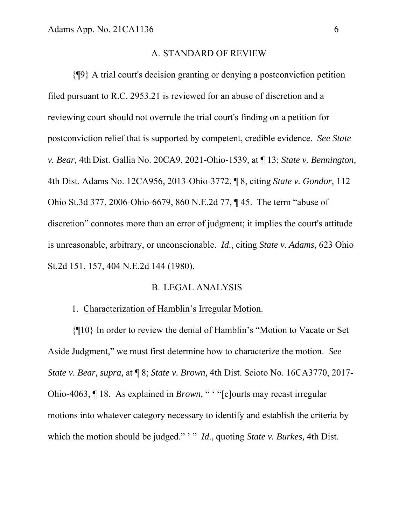#### A. STANDARD OF REVIEW

{¶9} A trial court's decision granting or denying a postconviction petition filed pursuant to R.C. 2953.21 is reviewed for an abuse of discretion and a reviewing court should not overrule the trial court's finding on a petition for postconviction relief that is supported by competent, credible evidence. *See State v. Bear,* 4th Dist. Gallia No. 20CA9, 2021-Ohio-1539*,* at ¶ 13; *State v. Bennington,* 4th Dist. Adams No. 12CA956, 2013-Ohio-3772, ¶ 8, citing *State v. Gondor,* 112 Ohio St.3d 377, 2006-Ohio-6679, 860 N.E.2d 77, ¶ 45. The term "abuse of discretion" connotes more than an error of judgment; it implies the court's attitude is unreasonable, arbitrary, or unconscionable. *Id.,* citing *State v. Adams*, 623 Ohio St.2d 151, 157, 404 N.E.2d 144 (1980).

## B. LEGAL ANALYSIS

#### 1. Characterization of Hamblin's Irregular Motion.

{¶10} In order to review the denial of Hamblin's "Motion to Vacate or Set Aside Judgment," we must first determine how to characterize the motion. *See State v. Bear, supra,* at ¶ 8; *State v. Brown,* 4th Dist. Scioto No. 16CA3770, 2017- Ohio-4063, ¶ 18. As explained in *Brown*, " " "[c]ourts may recast irregular motions into whatever category necessary to identify and establish the criteria by which the motion should be judged." " *Id.*, quoting *State v. Burkes*, 4th Dist.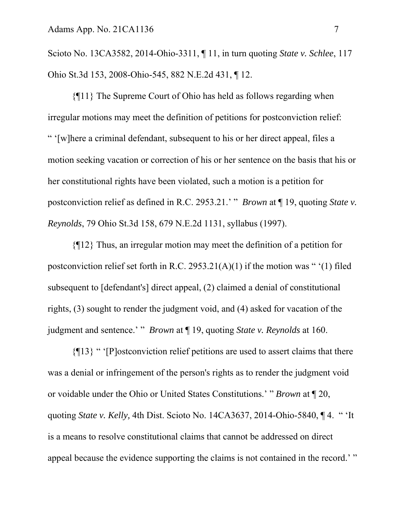Scioto No. 13CA3582, 2014-Ohio-3311, ¶ 11, in turn quoting *State v. Schlee*, 117 Ohio St.3d 153, 2008-Ohio-545, 882 N.E.2d 431, ¶ 12.

{¶11} The Supreme Court of Ohio has held as follows regarding when irregular motions may meet the definition of petitions for postconviction relief: " '[w]here a criminal defendant, subsequent to his or her direct appeal, files a motion seeking vacation or correction of his or her sentence on the basis that his or her constitutional rights have been violated, such a motion is a petition for postconviction relief as defined in R.C. 2953.21.' " *Brown* at ¶ 19, quoting *State v. Reynolds*, 79 Ohio St.3d 158, 679 N.E.2d 1131, syllabus (1997).

{¶12} Thus, an irregular motion may meet the definition of a petition for postconviction relief set forth in R.C. 2953.21(A)(1) if the motion was " $(1)$  filed subsequent to [defendant's] direct appeal, (2) claimed a denial of constitutional rights, (3) sought to render the judgment void, and (4) asked for vacation of the judgment and sentence.' " *Brown* at ¶ 19, quoting *State v. Reynolds* at 160.

{¶13} " '[P]ostconviction relief petitions are used to assert claims that there was a denial or infringement of the person's rights as to render the judgment void or voidable under the Ohio or United States Constitutions.' " *Brown* at ¶ 20, quoting *State v. Kelly,* 4th Dist. Scioto No. 14CA3637, 2014-Ohio-5840, ¶ 4. " 'It is a means to resolve constitutional claims that cannot be addressed on direct appeal because the evidence supporting the claims is not contained in the record.' "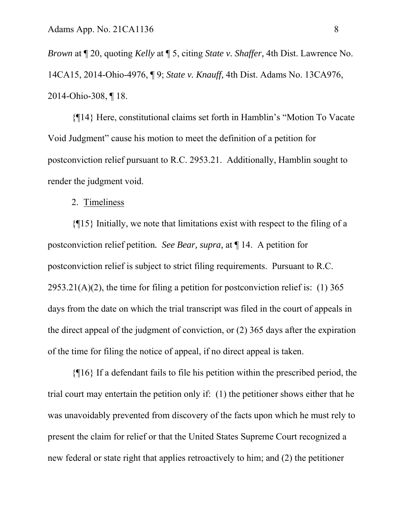*Brown* at ¶ 20, quoting *Kelly* at ¶ 5, citing *State v. Shaffer,* 4th Dist. Lawrence No. 14CA15, 2014-Ohio-4976, ¶ 9; *State v. Knauff,* 4th Dist. Adams No. 13CA976, 2014-Ohio-308, ¶ 18.

{¶14} Here, constitutional claims set forth in Hamblin's "Motion To Vacate Void Judgment" cause his motion to meet the definition of a petition for postconviction relief pursuant to R.C. 2953.21. Additionally, Hamblin sought to render the judgment void.

## 2. Timeliness

 {¶15} Initially, we note that limitations exist with respect to the filing of a postconviction relief petition*. See Bear, supra,* at ¶ 14. A petition for postconviction relief is subject to strict filing requirements. Pursuant to R.C.  $2953.21(A)(2)$ , the time for filing a petition for postconviction relief is: (1) 365 days from the date on which the trial transcript was filed in the court of appeals in the direct appeal of the judgment of conviction, or (2) 365 days after the expiration of the time for filing the notice of appeal, if no direct appeal is taken.

{¶16} If a defendant fails to file his petition within the prescribed period, the trial court may entertain the petition only if: (1) the petitioner shows either that he was unavoidably prevented from discovery of the facts upon which he must rely to present the claim for relief or that the United States Supreme Court recognized a new federal or state right that applies retroactively to him; and (2) the petitioner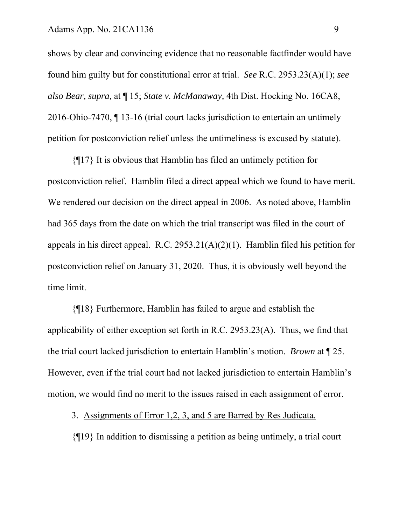shows by clear and convincing evidence that no reasonable factfinder would have found him guilty but for constitutional error at trial. *See* R.C. 2953.23(A)(1); *see also Bear, supra,* at ¶ 15; *State v. McManaway,* 4th Dist. Hocking No. 16CA8, 2016-Ohio-7470, ¶ 13-16 (trial court lacks jurisdiction to entertain an untimely petition for postconviction relief unless the untimeliness is excused by statute).

{¶17} It is obvious that Hamblin has filed an untimely petition for postconviction relief. Hamblin filed a direct appeal which we found to have merit. We rendered our decision on the direct appeal in 2006. As noted above, Hamblin had 365 days from the date on which the trial transcript was filed in the court of appeals in his direct appeal. R.C. 2953.21(A)(2)(1).Hamblin filed his petition for postconviction relief on January 31, 2020. Thus, it is obviously well beyond the time limit.

{¶18} Furthermore, Hamblin has failed to argue and establish the applicability of either exception set forth in R.C. 2953.23(A). Thus, we find that the trial court lacked jurisdiction to entertain Hamblin's motion. *Brown* at ¶ 25. However, even if the trial court had not lacked jurisdiction to entertain Hamblin's motion, we would find no merit to the issues raised in each assignment of error.

3. Assignments of Error 1,2, 3, and 5 are Barred by Res Judicata.

{¶19} In addition to dismissing a petition as being untimely, a trial court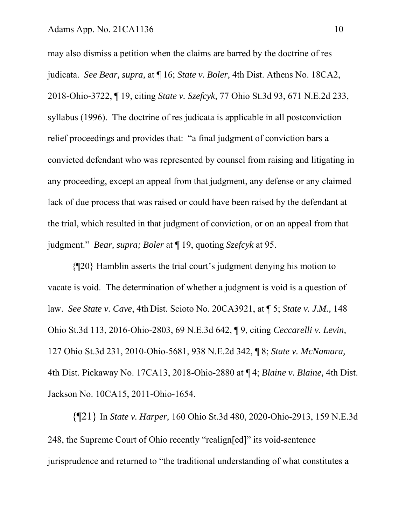may also dismiss a petition when the claims are barred by the doctrine of res judicata. *See Bear, supra,* at ¶ 16; *State v. Boler,* 4th Dist. Athens No. 18CA2, 2018-Ohio-3722, ¶ 19, citing *State v. Szefcyk,* 77 Ohio St.3d 93, 671 N.E.2d 233, syllabus (1996). The doctrine of res judicata is applicable in all postconviction relief proceedings and provides that: "a final judgment of conviction bars a convicted defendant who was represented by counsel from raising and litigating in any proceeding, except an appeal from that judgment, any defense or any claimed lack of due process that was raised or could have been raised by the defendant at the trial, which resulted in that judgment of conviction, or on an appeal from that judgment." *Bear, supra; Boler* at ¶ 19, quoting *Szefcyk* at 95.

 {¶20} Hamblin asserts the trial court's judgment denying his motion to vacate is void. The determination of whether a judgment is void is a question of law. *See State v. Cave*, 4th Dist. Scioto No. 20CA3921, at ¶ 5; *State v. J.M.,* 148 Ohio St.3d 113, 2016-Ohio-2803, 69 N.E.3d 642, ¶ 9, citing *Ceccarelli v. Levin,* 127 Ohio St.3d 231, 2010-Ohio-5681, 938 N.E.2d 342, ¶ 8; *State v. McNamara,*  4th Dist. Pickaway No. 17CA13, 2018-Ohio-2880 at ¶ 4; *Blaine v. Blaine,* 4th Dist. Jackson No. 10CA15, 2011-Ohio-1654.

{¶21} In *State v. Harper,* 160 Ohio St.3d 480, 2020-Ohio-2913, 159 N.E.3d 248, the Supreme Court of Ohio recently "realign[ed]" its void-sentence jurisprudence and returned to "the traditional understanding of what constitutes a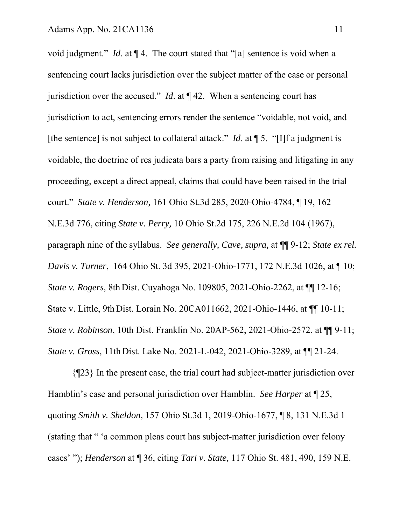void judgment." *Id*. at ¶ 4. The court stated that "[a] sentence is void when a sentencing court lacks jurisdiction over the subject matter of the case or personal jurisdiction over the accused." *Id*. at ¶ 42. When a sentencing court has jurisdiction to act, sentencing errors render the sentence "voidable, not void, and [the sentence] is not subject to collateral attack." *Id*. at ¶ 5. "[I]f a judgment is voidable, the doctrine of res judicata bars a party from raising and litigating in any proceeding, except a direct appeal, claims that could have been raised in the trial court." *State v. Henderson,* 161 Ohio St.3d 285, 2020-Ohio-4784, ¶ 19, 162 N.E.3d 776, citing *State v. Perry,* 10 Ohio St.2d 175, 226 N.E.2d 104 (1967), paragraph nine of the syllabus. *See generally, Cave, supra,* at ¶¶ 9-12; *State ex rel. Davis v. Turner*, 164 Ohio St. 3d 395, 2021-Ohio-1771, 172 N.E.3d 1026, at ¶ 10; *State v. Rogers,* 8th Dist. Cuyahoga No. 109805, 2021-Ohio-2262, at ¶¶ 12-16; State v. Little, 9th Dist. Lorain No. 20CA011662, 2021-Ohio-1446, at ¶¶ 10-11; *State v. Robinson*, 10th Dist. Franklin No. 20AP-562, 2021-Ohio-2572, at  $\P\P$ 9-11; *State v. Gross,* 11th Dist. Lake No. 2021-L-042, 2021-Ohio-3289, at ¶¶ 21-24.

{¶23} In the present case, the trial court had subject-matter jurisdiction over Hamblin's case and personal jurisdiction over Hamblin. *See Harper* at ¶ 25, quoting *Smith v. Sheldon,* 157 Ohio St.3d 1, 2019-Ohio-1677, ¶ 8, 131 N.E.3d 1 (stating that " 'a common pleas court has subject-matter jurisdiction over felony cases' "); *Henderson* at ¶ 36, citing *Tari v. State,* 117 Ohio St. 481, 490, 159 N.E.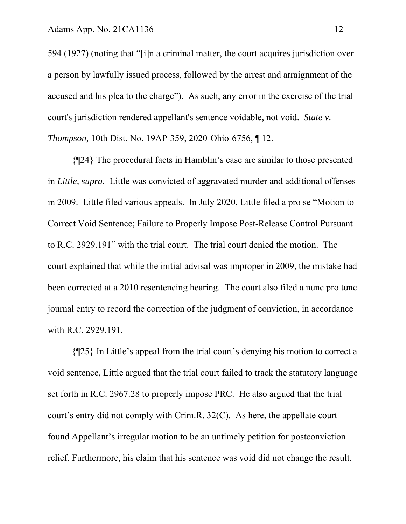594 (1927) (noting that "[i]n a criminal matter, the court acquires jurisdiction over a person by lawfully issued process, followed by the arrest and arraignment of the accused and his plea to the charge"). As such, any error in the exercise of the trial court's jurisdiction rendered appellant's sentence voidable, not void. *State v. Thompson,* 10th Dist. No. 19AP-359, 2020-Ohio-6756, ¶ 12.

{¶24} The procedural facts in Hamblin's case are similar to those presented in *Little, supra.* Little was convicted of aggravated murder and additional offenses in 2009. Little filed various appeals. In July 2020, Little filed a pro se "Motion to Correct Void Sentence; Failure to Properly Impose Post-Release Control Pursuant to R.C. 2929.191" with the trial court. The trial court denied the motion. The court explained that while the initial advisal was improper in 2009, the mistake had been corrected at a 2010 resentencing hearing. The court also filed a nunc pro tunc journal entry to record the correction of the judgment of conviction, in accordance with R.C. 2929.191.

{¶25} In Little's appeal from the trial court's denying his motion to correct a void sentence, Little argued that the trial court failed to track the statutory language set forth in R.C. 2967.28 to properly impose PRC. He also argued that the trial court's entry did not comply with Crim.R. 32(C). As here, the appellate court found Appellant's irregular motion to be an untimely petition for postconviction relief. Furthermore, his claim that his sentence was void did not change the result.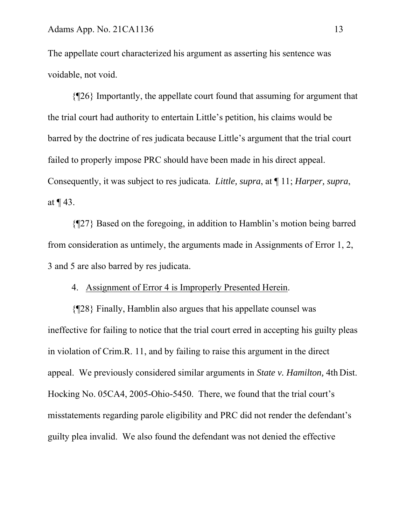The appellate court characterized his argument as asserting his sentence was voidable, not void.

{¶26} Importantly, the appellate court found that assuming for argument that the trial court had authority to entertain Little's petition, his claims would be barred by the doctrine of res judicata because Little's argument that the trial court failed to properly impose PRC should have been made in his direct appeal. Consequently, it was subject to res judicata. *Little, supra*, at ¶ 11; *Harper, supra*, at ¶ 43.

{¶27} Based on the foregoing, in addition to Hamblin's motion being barred from consideration as untimely, the arguments made in Assignments of Error 1, 2, 3 and 5 are also barred by res judicata.

## 4. Assignment of Error 4 is Improperly Presented Herein.

 {¶28} Finally, Hamblin also argues that his appellate counsel was ineffective for failing to notice that the trial court erred in accepting his guilty pleas in violation of Crim.R. 11, and by failing to raise this argument in the direct appeal. We previously considered similar arguments in *State v. Hamilton,* 4th Dist. Hocking No. 05CA4, 2005-Ohio-5450. There, we found that the trial court's misstatements regarding parole eligibility and PRC did not render the defendant's guilty plea invalid. We also found the defendant was not denied the effective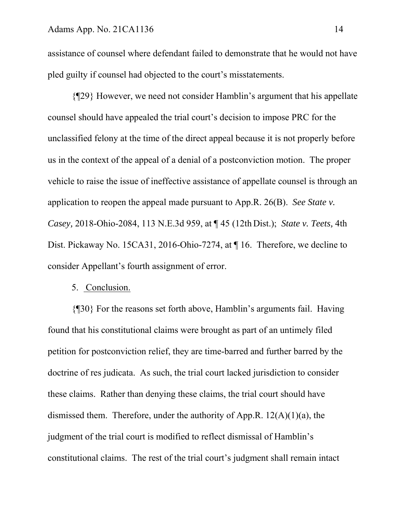assistance of counsel where defendant failed to demonstrate that he would not have pled guilty if counsel had objected to the court's misstatements.

 {¶29} However, we need not consider Hamblin's argument that his appellate counsel should have appealed the trial court's decision to impose PRC for the unclassified felony at the time of the direct appeal because it is not properly before us in the context of the appeal of a denial of a postconviction motion. The proper vehicle to raise the issue of ineffective assistance of appellate counsel is through an application to reopen the appeal made pursuant to App.R. 26(B). *See State v. Casey,* 2018-Ohio-2084, 113 N.E.3d 959, at ¶ 45 (12th Dist.); *State v. Teets,* 4th Dist. Pickaway No. 15CA31, 2016-Ohio-7274, at ¶ 16. Therefore, we decline to consider Appellant's fourth assignment of error.

## 5. Conclusion.

{¶30} For the reasons set forth above, Hamblin's arguments fail. Having found that his constitutional claims were brought as part of an untimely filed petition for postconviction relief, they are time-barred and further barred by the doctrine of res judicata. As such, the trial court lacked jurisdiction to consider these claims. Rather than denying these claims, the trial court should have dismissed them. Therefore, under the authority of App.R.  $12(A)(1)(a)$ , the judgment of the trial court is modified to reflect dismissal of Hamblin's constitutional claims. The rest of the trial court's judgment shall remain intact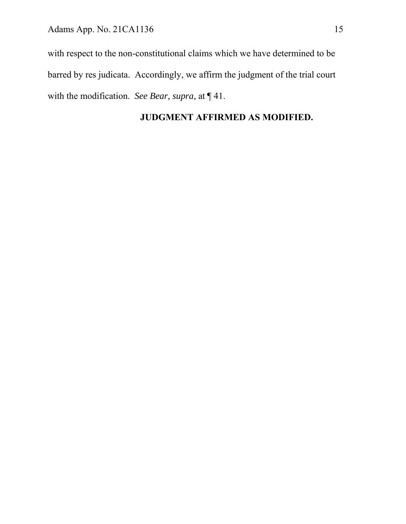with respect to the non-constitutional claims which we have determined to be barred by res judicata. Accordingly, we affirm the judgment of the trial court with the modification. *See Bear, supra,* at ¶ 41.

# **JUDGMENT AFFIRMED AS MODIFIED.**